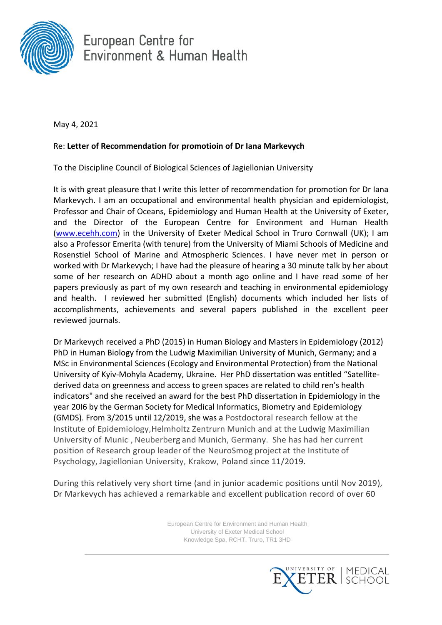

European Centre for Environment & Human Health

May 4, 2021

## Re: **Letter of Recommendation for promotioin of Dr Iana Markevych**

To the Discipline Council of Biological Sciences of Jagiellonian University

It is with great pleasure that I write this letter of recommendation for promotion for Dr Iana Markevych. I am an occupational and environmental health physician and epidemiologist, Professor and Chair of Oceans, Epidemiology and Human Health at the University of Exeter, and the Director of the European Centre for Environment and Human Health [\(www.ecehh.com\)](http://www.ecehh.com/) in the University of Exeter Medical School in Truro Cornwall (UK); I am also a Professor Emerita (with tenure) from the University of Miami Schools of Medicine and Rosenstiel School of Marine and Atmospheric Sciences. I have never met in person or worked with Dr Markevych; I have had the pleasure of hearing a 30 minute talk by her about some of her research on ADHD about a month ago online and I have read some of her papers previously as part of my own research and teaching in environmental epidemiology and health. I reviewed her submitted (English) documents which included her lists of accomplishments, achievements and several papers published in the excellent peer reviewed journals.

Dr Markevych received a PhD (2015) in Human Biology and Masters in Epidemiology (2012) PhD in Human Biology from the Ludwig Maximilian University of Munich, Germany; and a MSc in Environmental Sciences (Ecology and Environmental Protection) from the National University of Kyiv-Mohyla Academy, Ukraine. Her PhD dissertation was entitled "Satellitederived data on greenness and access to green spaces are related to child ren's health indicators" and she received an award for the best PhD dissertation in Epidemiology in the year 20I6 by the German Society for Medical Informatics, Biometry and Epidemiology (GMDS). From 3/2015 until 12/2019, she was a Postdoctoral research fellow at the Institute of Epidemiology,Helmholtz Zentrurn Munich and at the Ludwig Maximilian University of Munic , Neuberberg and Munich, Germany. She has had her current position of Research group leader of the NeuroSmog project at the Institute of Psychology, Jagiellonian University, Krakow, Poland since 11/2019.

During this relatively very short time (and in junior academic positions until Nov 2019), Dr Markevych has achieved a remarkable and excellent publication record of over 60

> European Centre for Environment and Human Health University of Exeter Medical School Knowledge Spa, RCHT, Truro, TR1 3HD

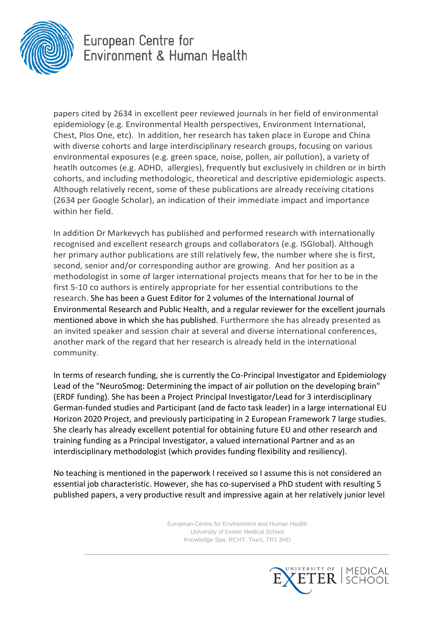

## European Centre for Environment & Human Health

papers cited by 2634 in excellent peer reviewed journals in her field of environmental epidemiology (e.g. Environmental Health perspectives, Environment International, Chest, Plos One, etc). In addition, her research has taken place in Europe and China with diverse cohorts and large interdisciplinary research groups, focusing on various environmental exposures (e.g. green space, noise, pollen, air pollution), a variety of heatlh outcomes (e.g. ADHD, allergies), frequently but exclusively in children or in birth cohorts, and including methodologic, theoretical and descriptive epidemiologic aspects. Although relatively recent, some of these publications are already receiving citations (2634 per Google Scholar), an indication of their immediate impact and importance within her field.

In addition Dr Markevych has published and performed research with internationally recognised and excellent research groups and collaborators (e.g. ISGlobal). Although her primary author publications are still relatively few, the number where she is first, second, senior and/or corresponding author are growing. And her position as a methodologist in some of larger international projects means that for her to be in the first 5-10 co authors is entirely appropriate for her essential contributions to the research. She has been a Guest Editor for 2 volumes of the International Journal of Environmental Research and Public Health, and a regular reviewer for the excellent journals mentioned above in which she has published. Furthermore she has already presented as an invited speaker and session chair at several and diverse international conferences, another mark of the regard that her research is already held in the international community.

In terms of research funding, she is currently the Co-Principal Investigator and Epidemiology Lead of the "NeuroSmog: Determining the impact of air pollution on the developing brain" (ERDF funding). She has been a Project Principal Investigator/Lead for 3 interdisciplinary German-funded studies and Participant (and de facto task leader) in a large international EU Horizon 2020 Project, and previously participating in 2 European Framework 7 large studies. She clearly has already excellent potential for obtaining future EU and other research and training funding as a Principal Investigator, a valued international Partner and as an interdisciplinary methodologist (which provides funding flexibility and resiliency).

No teaching is mentioned in the paperwork I received so I assume this is not considered an essential job characteristic. However, she has co-supervised a PhD student with resulting 5 published papers, a very productive result and impressive again at her relatively junior level

> European Centre for Environment and Human Health University of Exeter Medical School Knowledge Spa, RCHT, Truro, TR1 3HD